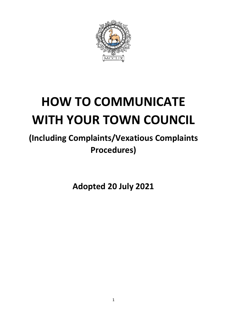

# **HOW TO COMMUNICATE WITH YOUR TOWN COUNCIL**

# **(Including Complaints/Vexatious Complaints Procedures)**

**Adopted 20 July 2021**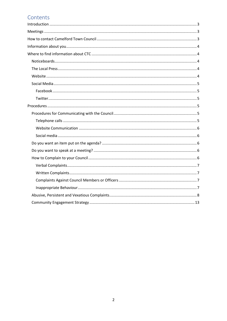# Contents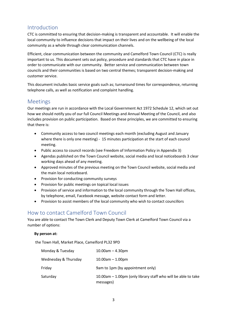# <span id="page-2-0"></span>Introduction

CTC is committed to ensuring that decision-making is transparent and accountable. It will enable the local community to influence decisions that impact on their lives and on the wellbeing of the local community as a whole through clear communication channels.

Efficient, clear communication between the community and Camelford Town Council (CTC) is really important to us. This document sets out policy, procedure and standards that CTC have in place in order to communicate with our community. Better service and communication between town councils and their communities is based on two central themes; transparent decision-making and customer service.

This document includes basic service goals such as; turnaround times for correspondence, returning telephone calls, as well as notification and complaint handling.

# <span id="page-2-1"></span>Meetings

Our meetings are run in accordance with the Local Government Act 1972 Schedule 12, which set out how we should notify you of our full Council Meetings and Annual Meeting of the Council, and also includes provision on public participation. Based on these principles, we are committed to ensuring that there is:

- Community access to two council meetings each month (excluding August and January where there is only one meeting) - 15 minutes participation at the start of each council meeting.
- Public access to council records (see Freedom of Information Policy in Appendix 3)
- Agendas published on the Town Council website, social media and local noticeboards 3 clear working days ahead of any meeting.
- Approved minutes of the previous meeting on the Town Council website, social media and the main local noticeboard.
- Provision for conducting community surveys
- Provision for public meetings on topical local issues
- Provision of service and information to the local community through the Town Hall offices, by telephone, email, Facebook message, website contact form and letter.
- Provision to assist members of the local community who wish to contact councillors

# <span id="page-2-2"></span>How to contact Camelford Town Council

You are able to contact The Town Clerk and Deputy Town Clerk at Camelford Town Council via a number of options:

#### **By person at:**

the Town Hall, Market Place, Camelford PL32 9PD

| Monday & Tuesday     | $10.00$ am $-4.30$ pm                                                           |
|----------------------|---------------------------------------------------------------------------------|
| Wednesday & Thursday | $10.00$ am $-1.00$ pm                                                           |
| Friday               | 9am to 1pm (by appointment only)                                                |
| Saturday             | $10.00$ am $-1.00$ pm (only library staff who will be able to take<br>messages) |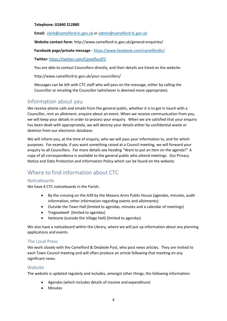#### **Telephone: 01840 212880**

**Email:** [clerk@camelford-tc.gov.uk](mailto:clerk@camelford-tc.gov.uk) o[r admin@camelford-tc.gov.uk](mailto:admin@camelford-tc.gov.uk)

**Website contact form**: http://www.camelford-tc.gov.uk/general-enquiries/

**Facebook page/private message** - <https://www.facebook.com/camelfordtc/>

**Twitter:** <https://twitter.com/CamelfordTC>

You are able to contact Councillors directly, and their details are listed on the website:

http://www.camelford-tc.gov.uk/your-councillors/

Messages can be left with CTC staff who will pass on the message, either by calling the Councillor or emailing the Councillor (whichever is deemed more appropriate).

# <span id="page-3-0"></span>Information about you

We receive phone calls and emails from the general public, whether it is to get in touch with a Councillor, rent an allotment, enquire about an event. When we receive communication from you, we will keep your details in order to process your enquiry. When we are satisfied that your enquiry has been dealt with appropriately, we will destroy your details either by confidential waste or deletion from our electronic database.

We will inform you, at the time of enquiry, who we will pass your information to, and for which purposes. For example, if you want something raised at a Council meeting, we will forward your enquiry to all Councillors. For more details see heading "Want to put an item on the agenda?" A copy of all correspondence is available to the general public who attend meetings. Our Privacy Notice and Data Protection and Information Policy which can be found on the website.

# <span id="page-3-1"></span>Where to find information about CTC

#### <span id="page-3-2"></span>**Noticeboards**

We have 4 CTC noticeboards in the Parish:

- By the crossing on the A39 by the Masons Arms Public House (agendas, minutes, audit information, other information regarding events and allotments).
- Outside the Town Hall (limited to agendas, minutes and a calendar of meetings)
- Tregoodwell (limited to agendas)
- Helstone (outside the Village Hall) (limited to agendas)

We also have a noticeboard within the Library, where we will put up information about any planning applications and events.

#### <span id="page-3-3"></span>The Local Press

We work closely with the Camelford & Delabole Post, who post news articles. They are invited to each Town Council meeting and will often produce an article following that meeting on any significant news.

#### <span id="page-3-4"></span>Website

The website is updated regularly and includes, amongst other things, the following information:

- Agendas (which includes details of income and expenditure)
- **Minutes**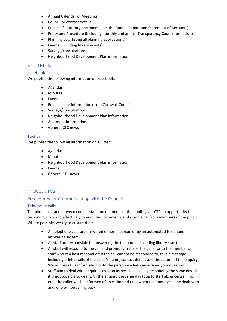- Annual Calendar of Meetings
- Councillor contact details
- Copies of statutory documents (i.e. the Annual Report and Statement of Accounts)
- Policy and Procedure (including monthly and annual Transparency Code information)
- Planning Log (listing all planning applications)
- Events (including library events)
- Surveys/consultations
- Neighbourhood Development Plan information

#### <span id="page-4-0"></span>Social Media

#### <span id="page-4-1"></span>Facebook

We publish the following information on Facebook:

- Agendas
- Minutes
- **Events**
- Road closure information (from Cornwall Council)
- Surveys/consultations
- Neighbourhood Development Plan information
- Allotment information
- General CTC news

#### <span id="page-4-2"></span>Twitter

We publish the following information on Twitter:

- Agendas
- Minutes
- Neighbourhood Development plan information
- **Events**
- General CTC news

# <span id="page-4-3"></span>Procedures

#### <span id="page-4-4"></span>Procedures for Communicating with the Council

#### <span id="page-4-5"></span>Telephone calls

Telephone contact between council staff and members of the public gives CTC an opportunity to respond quickly and effectively to enquiries, comments and complaints from members of the public. Where possible, we try to ensure that:

- All telephone calls are answered either in person or by an automated telephone answering system.
- All staff are responsible for answering the telephone (including library staff).
- All staff will respond to the call and promptly transfer the caller onto the member of staff who can best respond or; if the call cannot be responded to, take a message including brief details of the caller's name, contact details and the nature of the enquiry. We will pass this information onto the person we feel can answer your question.
- Staff aim to deal with enquiries as soon as possible, usually responding the same day. If it is not possible to deal with the enquiry the same day (due to staff absence/training etc), the caller will be informed of an estimated time when the enquiry can be dealt with and who will be calling back.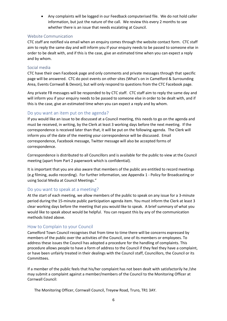• Any complaints will be logged in our Feedback computerised file. We do not hold caller information, but just the nature of the call. We review this every 2 months to see whether there is an issue that needs escalating at Council.

#### <span id="page-5-0"></span>Website Communication

CTC staff are notified via email when an enquiry comes through the website contact form. CTC staff aim to reply the same day and will inform you if your enquiry needs to be passed to someone else in order to be dealt with, and if this is the case, give an estimated time when you can expect a reply and by whom.

#### <span id="page-5-1"></span>Social media

CTC have their own Facebook page and only comments and private messages through that specific page will be answered. CTC do post events on other sites (What's on in Camelford & Surrounding Area, Events Cornwall & Devon), but will only respond to questions from the CTC Facebook page.

Any private FB messages will be responded to by CTC staff. CTC staff aim to reply the same day and will inform you if your enquiry needs to be passed to someone else in order to be dealt with, and if this is the case, give an estimated time when you can expect a reply and by whom.

#### <span id="page-5-2"></span>Do you want an item put on the agenda?

If you would like an issue to be discussed at a Council meeting, this needs to go on the agenda and must be received, in writing, by the Clerk at least 3 working days before the next meeting. If the correspondence is received later than that, it will be put on the following agenda. The Clerk will inform you of the date of the meeting your correspondence will be discussed. Email correspondence, Facebook message, Twitter message will also be accepted forms of correspondence.

Correspondence is distributed to all Councillors and is available for the public to view at the Council meeting (apart from Part 2 paperwork which is confidential).

It is important that you are also aware that members of the public are entitled to record meetings (e.g filming, audio recording). For further information, see Appendix 1 - Policy for Broadcasting or using Social Media at Council Meetings."

#### <span id="page-5-3"></span>Do you want to speak at a meeting?

At the start of each meeting, we allow members of the public to speak on any issue for a 3-minute period during the 15-minute public participation agenda item. You must inform the Clerk at least 3 clear working days before the meeting that you would like to speak. A brief summary of what you would like to speak about would be helpful. You can request this by any of the communication methods listed above.

#### <span id="page-5-4"></span>How to Complain to your Council

Camelford Town Council recognises that from time to time there will be concerns expressed by members of the public over the activities of the Council, one of its members or employees. To address these issues the Council has adopted a procedure for the handling of complaints. This procedure allows people to have a form of address to the Council if they feel they have a complaint, or have been unfairly treated in their dealings with the Council staff, Councillors, the Council or its Committees.

If a member of the public feels that his/her complaint has not been dealt with satisfactorily he /she may submit a complaint against a member/members of the Council to the Monitoring Officer at Cornwall Council:

The Monitoring Officer, Cornwall Council, Treyew Road, Truro, TR1 3AY.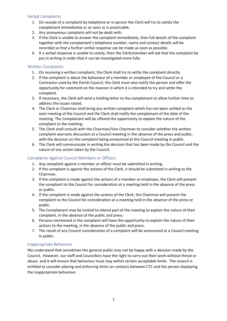#### <span id="page-6-0"></span>Verbal Complaints

- 1. On receipt of a complaint by telephone or in person the Clerk will try to satisfy the complainant immediately or as soon as is practicable.
- 2. Any anonymous complaint will not be dealt with.
- 3. If the Clerk is unable to answer the complaint immediately, then full details of the complaint together with the complainant's telephone number, name and contact details will be recorded so that a further verbal response can be made as soon as possible.
- 4. If a verbal response is unable to satisfy, then the Clerk/member will ask that the complaint be put in writing in order that it can be investigated more fully.

#### <span id="page-6-1"></span>Written Complaints

- 1. On receiving a written complaint, the Clerk shall try to settle the complaint directly.
- 2. If the complaint is about the behaviour of a member or employee of the Council or a Contractor used by the Parish Council, the Clerk must also notify the person and offer the opportunity for comment on the manner in which it is intended to try and settle the complaint.
- 3. If necessary, the Clerk will send a holding letter to the complainant to allow further time to address the issues raised.
- 4. The Clerk or Chairman shall bring any written complaint which has not been settled to the next meeting of the Council and the Clerk shall notify the complainant of the date of the meeting. The Complainant will be offered the opportunity to explain the nature of the complaint to the meeting.
- 5. The Clerk shall consult with the Chairman/Vice Chairman to consider whether the written complaint warrants discussion at a Council meeting in the absence of the press and public, with the decision on the complaint being announced at the Council meeting in public.
- 6. The Clerk will communicate in writing the decision that has been made by the Council and the nature of any action taken by the Council.

#### <span id="page-6-2"></span>Complaints Against Council Members or Officers

- 1. Any complaint against a member or officer must be submitted in writing.
- 2. If the complaint is against the actions of the Clerk, it should be submitted in writing to the Chairman.
- 3. If the complaint is made against the actions of a member or employee, the Clerk will present the complaint to the Council for consideration at a meeting held in the absence of the press or public.
- 4. If the complaint is made against the actions of the Clerk, the Chairman will present the complaint to the Council for consideration at a meeting held in the absence of the press or public.
- 5. The Complainant may be invited to attend part of the meeting to explain the nature of their complaint, in the absence of the public and press.
- 6. Persons mentioned in the complaint will have the opportunity to explain the nature of their actions to the meeting, in the absence of the public and press.
- 7. The result of any Council consideration of a complaint will be announced at a Council meeting in public.

#### <span id="page-6-3"></span>Inappropriate Behaviour

We understand that sometimes the general public may not be happy with a decision made by the Council. However, our staff and Councillors have the right to carry out their work without threat or abuse, and it will ensure that behaviour must stay within certain acceptable limits. The council is entitled to consider placing and enforcing limits on contacts between CTC and the person displaying the inappropriate behaviour.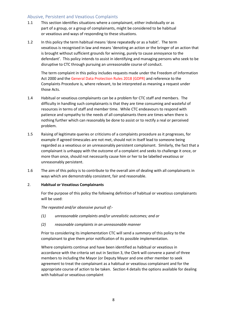#### <span id="page-7-0"></span>Abusive, Persistent and Vexatious Complaints

- 1.1 This section identifies situations where a complainant, either individually or as part of a group, or a group of complainants, might be considered to be habitual or vexatious and ways of responding to these situations.
- 1.2 In this policy the term habitual means 'done repeatedly or as a habit'. The term vexatious is recognised in law and means 'denoting an action or the bringer of an action that is brought without sufficient grounds for winning, purely to cause annoyance to the defendant'. This policy intends to assist in identifying and managing persons who seek to be disruptive to CTC through pursuing an unreasonable course of conduct.

The term complaint in this policy includes requests made under the Freedom of Information Act 2000 and the General Data Protection Rules 2018 (GDPR) and reference to the Complaints Procedure is, where relevant, to be interpreted as meaning a request under those Acts.

- 1.4 Habitual or vexatious complainants can be a problem for CTC staff and members. The difficulty in handling such complainants is that they are time consuming and wasteful of resources in terms of staff and member time. While CTC endeavours to respond with patience and sympathy to the needs of all complainants there are times when there is nothing further which can reasonably be done to assist or to rectify a real or perceived problem.
- 1.5 Raising of legitimate queries or criticisms of a complaints procedure as it progresses, for example if agreed timescales are not met, should not in itself lead to someone being regarded as a vexatious or an unreasonably persistent complainant. Similarly, the fact that a complainant is unhappy with the outcome of a complaint and seeks to challenge it once, or more than once, should not necessarily cause him or her to be labelled vexatious or unreasonably persistent.
- 1.6 The aim of this policy is to contribute to the overall aim of dealing with all complainants in ways which are demonstrably consistent, fair and reasonable.

#### 2. **Habitual or Vexatious Complainants**

For the purpose of this policy the following definition of habitual or vexatious complainants will be used:

*The repeated and/or obsessive pursuit of:-*

- *(1) unreasonable complaints and/or unrealistic outcomes; and or*
- *(2) reasonable complaints in an unreasonable manner*

Prior to considering its implementation CTC will send a *summary* of this policy to the complainant to give them prior notification of its possible implementation.

Where complaints continue and have been identified as habitual or vexatious in accordance with the criteria set out in Section 3, the Clerk will convene a panel of three members to including the Mayor (or Deputy Mayor and one other member to seek agreement to treat the complainant as a habitual or vexatious complainant and for the appropriate course of action to be taken. Section 4 details the options available for dealing with habitual or vexatious complaint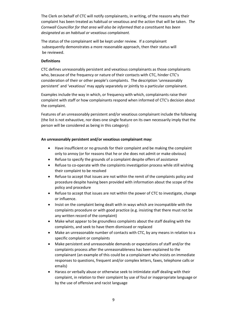The Clerk on behalf of CTC will notify complainants, in writing, of the reasons why their complaint has been treated as habitual or vexatious and the action that will be taken. *The Cornwall Councillor for that area will also be informed that a constituent has been designated as an habitual or vexatious complainant.*

The status of the complainant will be kept under review. If a complainant subsequently demonstrates a more reasonable approach, then their status will be reviewed.

#### **Definitions**

CTC defines unreasonably persistent and vexatious complainants as those complainants who, because of the frequency or nature of their contacts with CTC, hinder CTC's consideration of their or other people's complaints. The description 'unreasonably persistent' and 'vexatious' may apply separately or jointly to a particular complainant.

Examples include the way in which, or frequency with which, complainants raise their complaint with staff or how complainants respond when informed of CTC's decision about the complaint.

Features of an unreasonably persistent and/or vexatious complainant include the following (the list is not exhaustive, nor does one single feature on its own necessarily imply that the person will be considered as being in this category):

#### **An unreasonably persistent and/or vexatious complainant may:**

- Have insufficient or no grounds for their complaint and be making the complaint only to annoy (or for reasons that he or she does not admit or make obvious)
- Refuse to specify the grounds of a complaint despite offers of assistance
- Refuse to co-operate with the complaints investigation process while still wishing their complaint to be resolved
- Refuse to accept that issues are not within the remit of the complaints policy and procedure despite having been provided with information about the scope of the policy and procedure
- Refuse to accept that issues are not within the power of CTC to investigate, change or influence.
- Insist on the complaint being dealt with in ways which are incompatible with the complaints procedure or with good practice (e.g. insisting that there must not be any written record of the complaint)
- Make what appear to be groundless complaints about the staff dealing with the complaints, and seek to have them dismissed or replaced
- Make an unreasonable number of contacts with CTC, by any means in relation to a specific complaint or complaints
- Make persistent and unreasonable demands or expectations of staff and/or the complaints process after the unreasonableness has been explained to the complainant (an example of this could be a complainant who insists on immediate responses to questions, frequent and/or complex letters, faxes, telephone calls or emails)
- Harass or verbally abuse or otherwise seek to intimidate staff dealing with their complaint, in relation to their complaint by use of foul or inappropriate language or by the use of offensive and racist language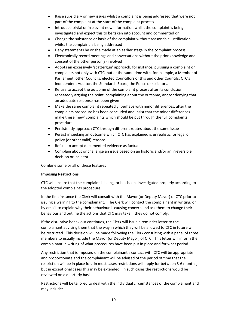- Raise subsidiary or new issues whilst a complaint is being addressed that were not part of the complaint at the start of the complaint process
- Introduce trivial or irrelevant new information whilst the complaint is being investigated and expect this to be taken into account and commented on
- Change the substance or basis of the complaint without reasonable justification whilst the complaint is being addressed
- Deny statements he or she made at an earlier stage in the complaint process
- Electronically record meetings and conversations without the prior knowledge and consent of the other person(s) involved
- Adopts an excessively 'scattergun' approach, for instance, pursuing a complaint or complaints not only with CTC, but at the same time with, for example, a Member of Parliament, other Councils, elected Councillors of this and other Councils, CTC's Independent Auditor, the Standards Board, the Police or solicitors.
- Refuse to accept the outcome of the complaint process after its conclusion, repeatedly arguing the point, complaining about the outcome, and/or denying that an adequate response has been given
- Make the same complaint repeatedly, perhaps with minor differences, after the complaints procedure has been concluded and insist that the minor differences make these 'new' complaints which should be put through the full complaints procedure
- Persistently approach CTC through different routes about the same issue
- Persist in seeking an outcome which CTC has explained is unrealistic for legal or policy (or other valid) reasons
- Refuse to accept documented evidence as factual
- Complain about or challenge an issue based on an historic and/or an irreversible decision or incident

Combine some or all of these features

#### **Imposing Restrictions**

CTC will ensure that the complaint is being, or has been, investigated properly according to the adopted complaints procedure.

In the first instance the Clerk will consult with the Mayor (or Deputy Mayor) of CTC prior to issuing a warning to the complainant. The Clerk will contact the complainant in writing, or by email, to explain why their behaviour is causing concern and ask them to change their behaviour and outline the actions that CTC may take if they do not comply.

If the disruptive behaviour continues, the Clerk will issue a reminder letter to the complainant advising them that the way in which they will be allowed to CTC in future will be restricted. This decision will be made following the Clerk consulting with a panel of three members to usually include the Mayor (or Deputy Mayor) of CTC. This letter will inform the complainant in writing of what procedures have been put in place and for what period.

Any restriction that is imposed on the complainant's contact with CTC will be appropriate and proportionate and the complainant will be advised of the period of time that the restriction will be in place for. In most cases restrictions will apply for between 3-6 months, but in exceptional cases this may be extended. In such cases the restrictions would be reviewed on a quarterly basis.

Restrictions will be tailored to deal with the individual circumstances of the complainant and may include: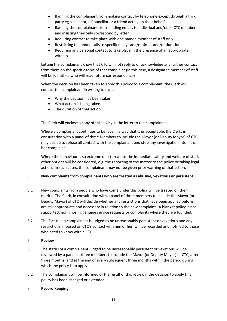- Banning the complainant from making contact by telephone except through a third party eg a solicitor, a Councillor or a friend acting on their behalf
- Banning the complainant from sending emails to individual and/or all CTC members and insisting they only correspond by letter
- Requiring contact to take place with one named member of staff only
- Restricting telephone calls to specified days and/or times and/or duration
- Requiring any personal contact to take place in the presence of an appropriate witness

Letting the complainant know that CTC will not reply to or acknowledge any further contact from them on the specific topic of that complaint (in this case, a designated member of staff will be identified who will read future correspondence)

When the decision has been taken to apply this policy to a complainant, the Clerk will contact the complainant in writing to explain:-

- Why the decision has been taken
- What action is being taken
- The duration of that action

The Clerk will enclose a copy of this policy in the letter to the complainant.

Where a complainant continues to behave in a way that is unacceptable, the Clerk, in consultation with a panel of three Members to include the Mayor (or Deputy Mayor) of CTC may decide to refuse all contact with the complainant and stop any investigation into his or her complaint.

Where the behaviour is so extreme or it threatens the immediate safety and welfare of staff, other options will be considered, e.g. the reporting of the matter to the police or taking legal action. In such cases, the complainant may not be given prior warning of that action.

#### 5. **New complaints from complainants who are treated as abusive, vexatious or persistent**

- 5.1 New complaints from people who have come under this policy will be treated on their merits. The Clerk, in consultation with a panel of three members to include the Mayor (or Deputy Mayor) of CTC will decide whether any restrictions that have been applied before are still appropriate and necessary in relation to the new complaint. A blanket policy is not supported, nor ignoring genuine service requests or complaints where they are founded.
- 5.2 The fact that a complainant is judged to be unreasonably persistent or vexatious and any restrictions imposed on CTC's contact with him or her, will be recorded and notified to those who need to know within CTC.

#### 6. **Review**

- 6.1 The status of a complainant judged to be unreasonably persistent or vexatious will be reviewed by a panel of three members to include the Mayor (or Deputy Mayor) of CTC, after three months, and at the end of every subsequent three months within the period during which the policy is to apply.
- 6.2 The complainant will be informed of the result of this review if the decision to apply this policy has been changed or extended.

#### 7. **Record Keeping**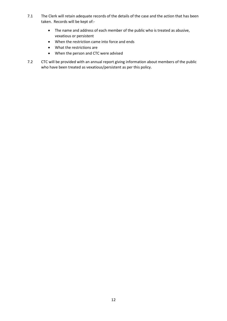- 7.1 The Clerk will retain adequate records of the details of the case and the action that has been taken. Records will be kept of:-
	- The name and address of each member of the public who is treated as abusive, vexatious or persistent
	- When the restriction came into force and ends
	- What the restrictions are
	- When the person and CTC were advised
- 7.2 CTC will be provided with an annual report giving information about members of the public who have been treated as vexatious/persistent as per this policy.